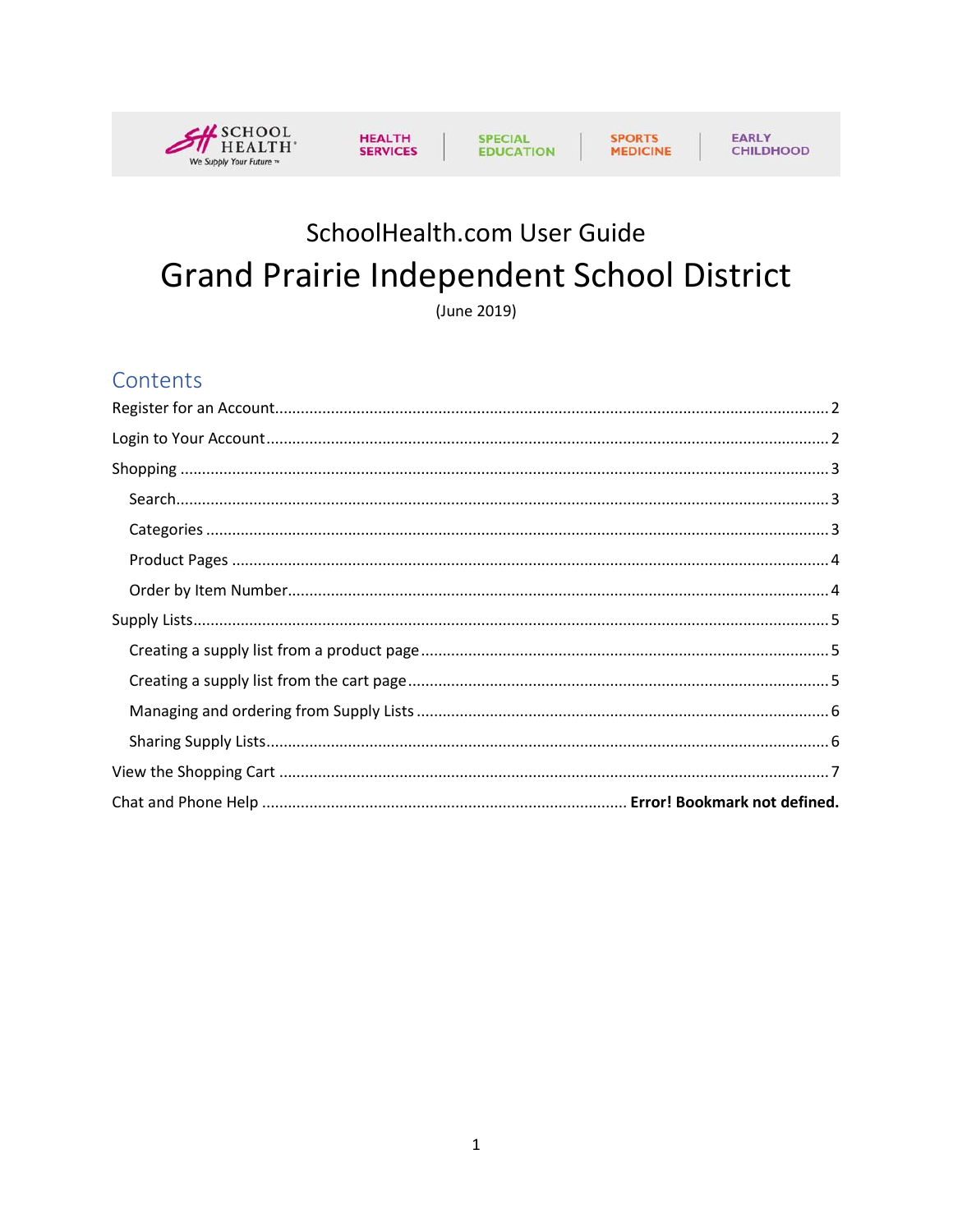



# EARLY<br>CHILDHOOD

# SchoolHealth.com User Guide **Grand Prairie Independent School District**

(June 2019)

### Contents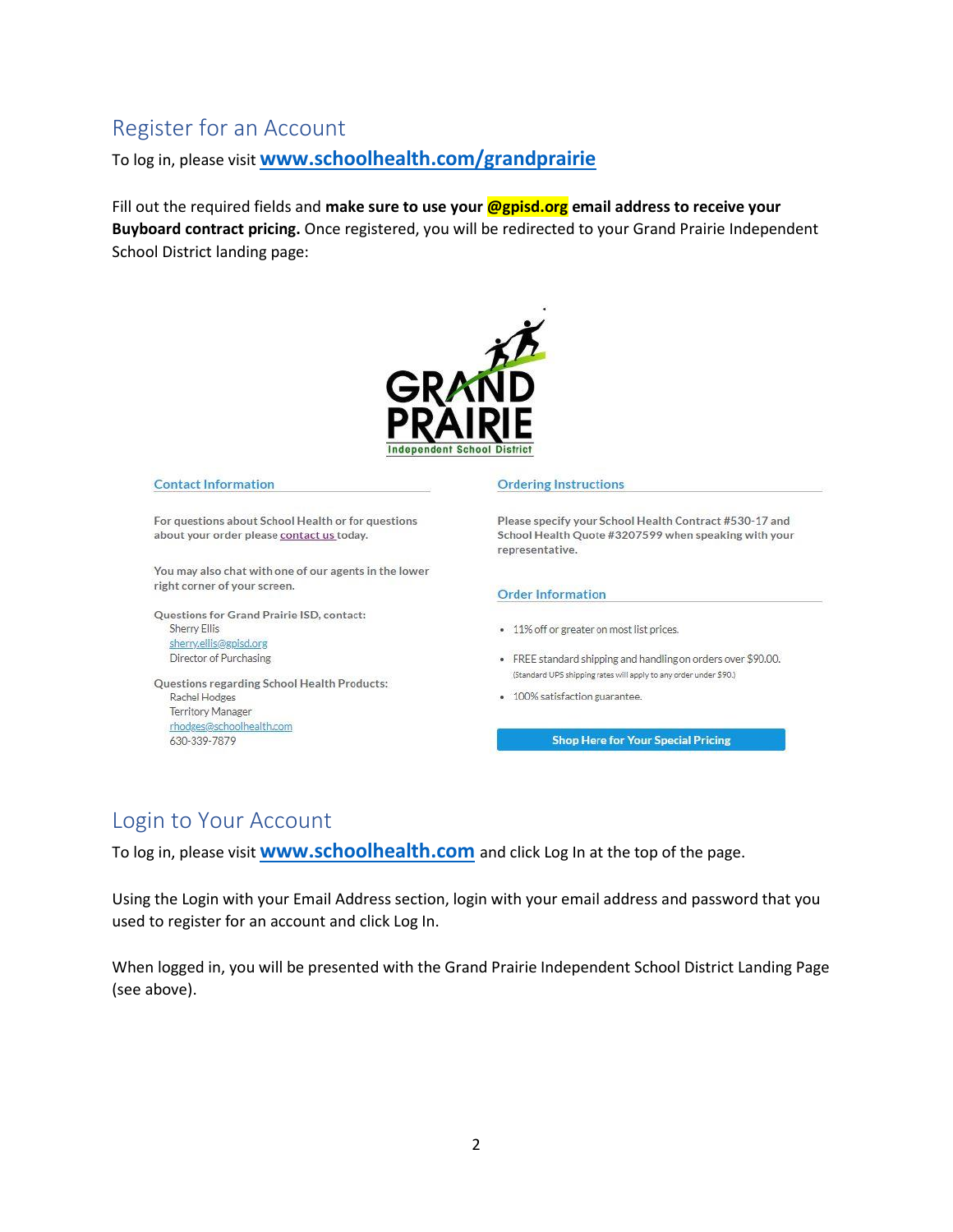# <span id="page-1-0"></span>Register for an Account

To log in, please visit **[www.schoolhealth.com/](file:///C:/Users/lynng/Desktop/Slide%20Decks%20for%20eCommerce/www.schoolhealth.com)grandprairie**

Fill out the required fields and **make sure to use your @gpisd.org email address to receive your Buyboard contract pricing.** Once registered, you will be redirected to your Grand Prairie Independent School District landing page:



#### **Contact Information**

For questions about School Health or for questions about your order please contact us today.

You may also chat with one of our agents in the lower right corner of your screen.

Questions for Grand Prairie ISD, contact: **Sherry Ellis** sherry.ellis@gpisd.org Director of Purchasing

Questions regarding School Health Products: Rachel Hodges **Territory Manager** rhodges@schoolhealth.com 630-339-7879

#### **Ordering Instructions**

Please specify your School Health Contract #530-17 and School Health Quote #3207599 when speaking with your representative.

#### **Order Information**

- 11% off or greater on most list prices.
- FREE standard shipping and handling on orders over \$90.00. (Standard UPS shipping rates will apply to any order under \$90.)
- 100% satisfaction guarantee.

**Shop Here for Your Special Pricing** 

### <span id="page-1-1"></span>Login to Your Account

To log in, please visit **[www.schoolhealth.com](file:///C:/Users/lynng/Desktop/Slide%20Decks%20for%20eCommerce/www.schoolhealth.com)** and click Log In at the top of the page.

Using the Login with your Email Address section, login with your email address and password that you used to register for an account and click Log In.

When logged in, you will be presented with the Grand Prairie Independent School District Landing Page (see above).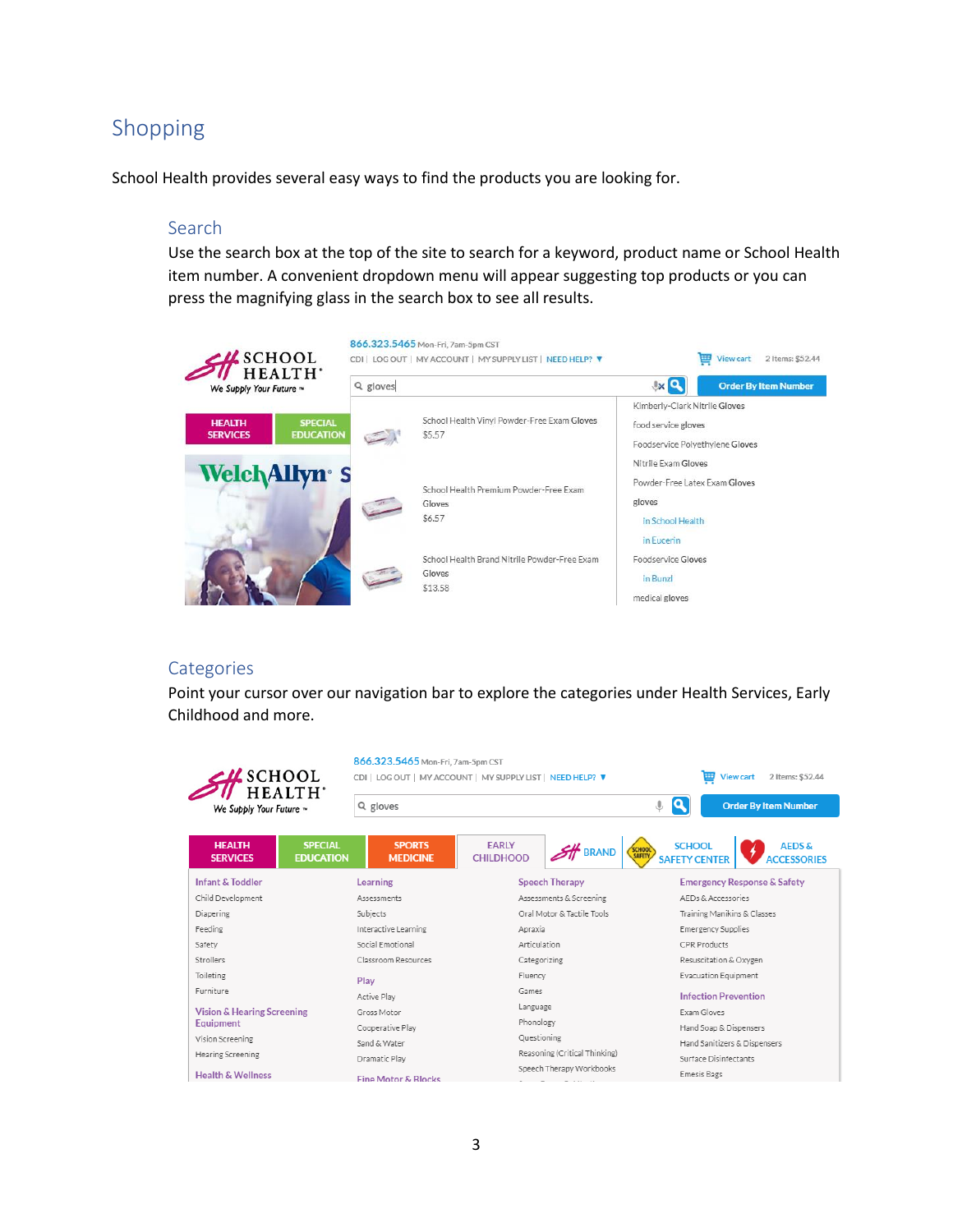### <span id="page-2-0"></span>Shopping

<span id="page-2-1"></span>School Health provides several easy ways to find the products you are looking for.

#### Search

Use the search box at the top of the site to search for a keyword, product name or School Health item number. A convenient dropdown menu will appear suggesting top products or you can press the magnifying glass in the search box to see all results.



#### <span id="page-2-2"></span>**Categories**

Point your cursor over our navigation bar to explore the categories under Health Services, Early Childhood and more.

| $\sim$ SCHOOL<br>HEALTH'                                               | 866.323.5465 Mon-Fri, 7am-5pm CST | CDI   LOG OUT   MY ACCOUNT   MY SUPPLY LIST   NEED HELP? ▼ | 覀<br><b>View cart</b><br>2 Items: \$52,44<br>Q<br><b>Order By Item Number</b>                                   |  |  |
|------------------------------------------------------------------------|-----------------------------------|------------------------------------------------------------|-----------------------------------------------------------------------------------------------------------------|--|--|
| We Supply Your Future ~                                                | Q gloves                          |                                                            |                                                                                                                 |  |  |
| <b>SPECIAL</b><br><b>HEALTH</b><br><b>EDUCATION</b><br><b>SERVICES</b> | <b>SPORTS</b><br><b>MEDICINE</b>  | <b>FARLY</b><br><b>BRAND</b><br><b>CHILDHOOD</b>           | <b>SCHOOL</b><br><b>AFDS&amp;</b><br><b>SCHOOL</b><br><b>SAFETY</b><br><b>SAFETY CENTER</b><br><b>CESSORIES</b> |  |  |
| <b>Infant &amp; Toddler</b>                                            | Learning                          | <b>Speech Therapy</b>                                      | <b>Emergency Response &amp; Safety</b>                                                                          |  |  |
| Child Development                                                      | Assessments                       | Assessments & Screening                                    | AEDs & Accessories                                                                                              |  |  |
| Diapering                                                              | Subjects                          | Oral Motor & Tactile Tools                                 | Training Manikins & Classes                                                                                     |  |  |
| Feeding                                                                | Interactive Learning              | Apraxia                                                    | Emergency Supplies                                                                                              |  |  |
| Safety                                                                 | Social Emotional                  | Articulation                                               | CPR Products                                                                                                    |  |  |
| Strollers                                                              | Classroom Resources               | Categorizing                                               | Resuscitation & Oxygen                                                                                          |  |  |
| Toileting                                                              | Play                              | Fluency                                                    | <b>Evacuation Equipment</b>                                                                                     |  |  |
| Furniture                                                              | Active Play                       | Games                                                      | <b>Infection Prevention</b>                                                                                     |  |  |
| <b>Vision &amp; Hearing Screening</b>                                  | Gross Motor                       | Language                                                   | Exam Gloves                                                                                                     |  |  |
| Equipment                                                              | Cooperative Play                  | Phonology                                                  | Hand Soap & Dispensers                                                                                          |  |  |
| Vision Screening                                                       | Sand & Water                      | Questioning                                                | Hand Sanitizers & Dispensers                                                                                    |  |  |
| <b>Hearing Screening</b>                                               |                                   | Reasoning (Critical Thinking)                              | Surface Disinfectants                                                                                           |  |  |
|                                                                        | Dramatic Play                     | Speech Therapy Workbooks                                   |                                                                                                                 |  |  |
| <b>Health &amp; Wellness</b>                                           | <b>Fine Motor &amp; Rlocks</b>    |                                                            | <b>Emesis Bags</b>                                                                                              |  |  |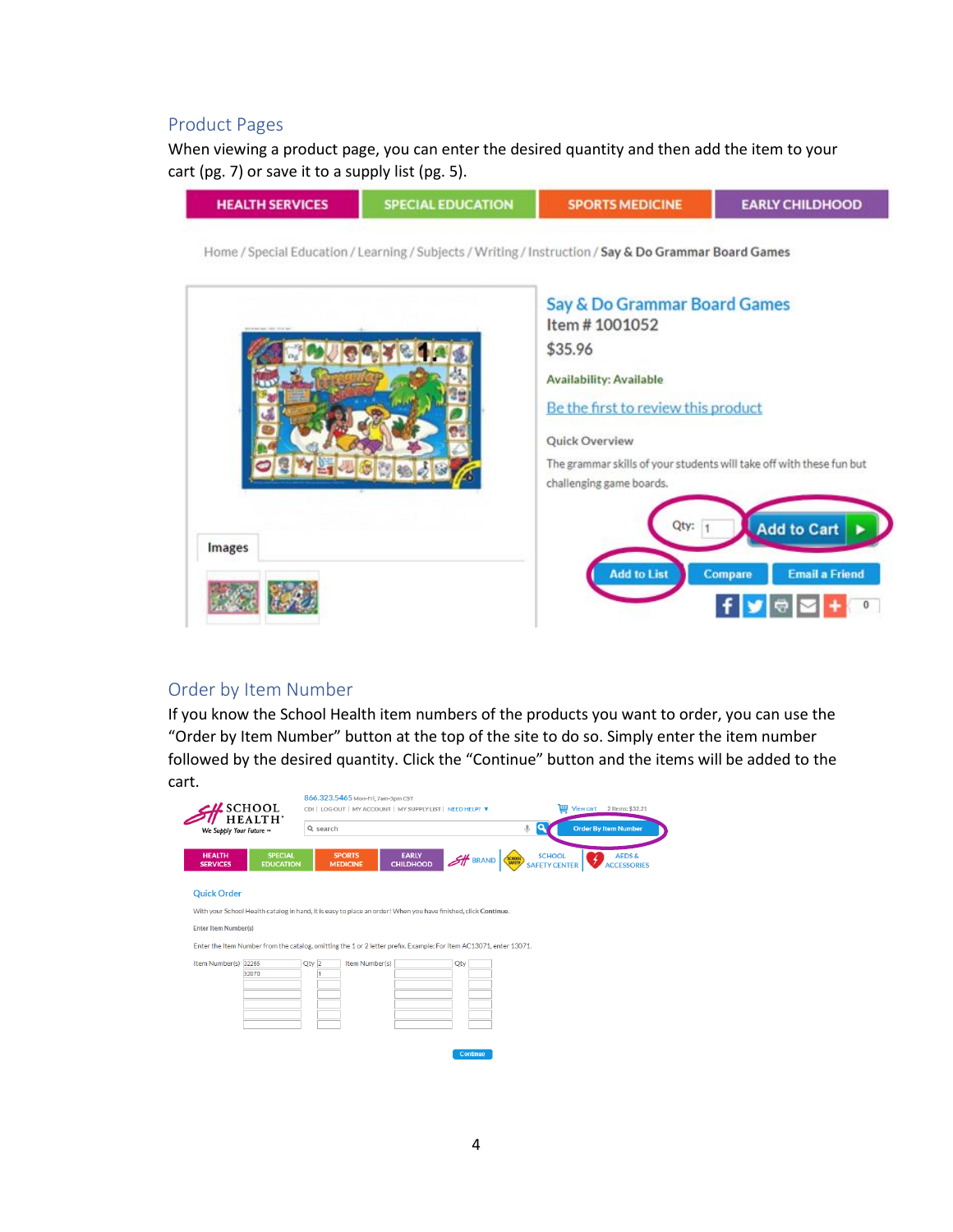### <span id="page-3-0"></span>Product Pages

When viewing a product page, you can enter the desired quantity and then add the item to your cart (pg. 7) or save it to a supply list (pg. 5).



#### <span id="page-3-1"></span>Order by Item Number

If you know the School Health item numbers of the products you want to order, you can use the "Order by Item Number" button at the top of the site to do so. Simply enter the item number followed by the desired quantity. Click the "Continue" button and the items will be added to the cart.

| a<br>⊕<br>Q search<br>We Supply Your Future ~<br><b>HEALTH</b><br><b>SPECIAL</b><br><b>EARLY</b><br><b>SPORTS</b><br><b>SCHOOL</b><br>$H$ BRAND<br>SCHOOL<br><b>CHILDHOOD</b><br><b>EDUCATION</b><br><b>SERVICES</b><br><b>MEDICINE</b><br><b>SAFETY CENTER</b><br><b>Quick Order</b><br>With your School Health catalog in hand, it is easy to place an order! When you have finished, click Continue.<br><b>Enter Item Number(s)</b><br>Enter the Item Number from the catalog, omitting the 1 or 2 letter prefix. Example: For item AC13071, enter 13071.<br>Item Number(s) 32265<br>Item Number(s)<br>$Qty$ 2<br>Qty<br>32070 | SCHOOL<br>HEALTH' | 866.323.5465 Mon-Fri, 7am-5pm CST | CDI   LOG OUT   MY ACCOUNT   MY SUPPLY LIST   NEED HELP? ▼ | 覀 | <b>View cart</b><br>2 Items: \$32.21    |
|-----------------------------------------------------------------------------------------------------------------------------------------------------------------------------------------------------------------------------------------------------------------------------------------------------------------------------------------------------------------------------------------------------------------------------------------------------------------------------------------------------------------------------------------------------------------------------------------------------------------------------------|-------------------|-----------------------------------|------------------------------------------------------------|---|-----------------------------------------|
|                                                                                                                                                                                                                                                                                                                                                                                                                                                                                                                                                                                                                                   |                   |                                   |                                                            |   | <b>Order By Item Number</b>             |
|                                                                                                                                                                                                                                                                                                                                                                                                                                                                                                                                                                                                                                   |                   |                                   |                                                            |   | <b>AEDS &amp;</b><br><b>ACCESSORIES</b> |
|                                                                                                                                                                                                                                                                                                                                                                                                                                                                                                                                                                                                                                   |                   |                                   |                                                            |   |                                         |
|                                                                                                                                                                                                                                                                                                                                                                                                                                                                                                                                                                                                                                   |                   |                                   |                                                            |   |                                         |
|                                                                                                                                                                                                                                                                                                                                                                                                                                                                                                                                                                                                                                   |                   |                                   |                                                            |   |                                         |
|                                                                                                                                                                                                                                                                                                                                                                                                                                                                                                                                                                                                                                   |                   |                                   |                                                            |   |                                         |
|                                                                                                                                                                                                                                                                                                                                                                                                                                                                                                                                                                                                                                   |                   |                                   |                                                            |   |                                         |
|                                                                                                                                                                                                                                                                                                                                                                                                                                                                                                                                                                                                                                   |                   |                                   |                                                            |   |                                         |
|                                                                                                                                                                                                                                                                                                                                                                                                                                                                                                                                                                                                                                   |                   |                                   |                                                            |   |                                         |
|                                                                                                                                                                                                                                                                                                                                                                                                                                                                                                                                                                                                                                   |                   |                                   |                                                            |   |                                         |
|                                                                                                                                                                                                                                                                                                                                                                                                                                                                                                                                                                                                                                   |                   |                                   |                                                            |   |                                         |
|                                                                                                                                                                                                                                                                                                                                                                                                                                                                                                                                                                                                                                   |                   |                                   |                                                            |   |                                         |
| <b>Continue</b>                                                                                                                                                                                                                                                                                                                                                                                                                                                                                                                                                                                                                   |                   |                                   |                                                            |   |                                         |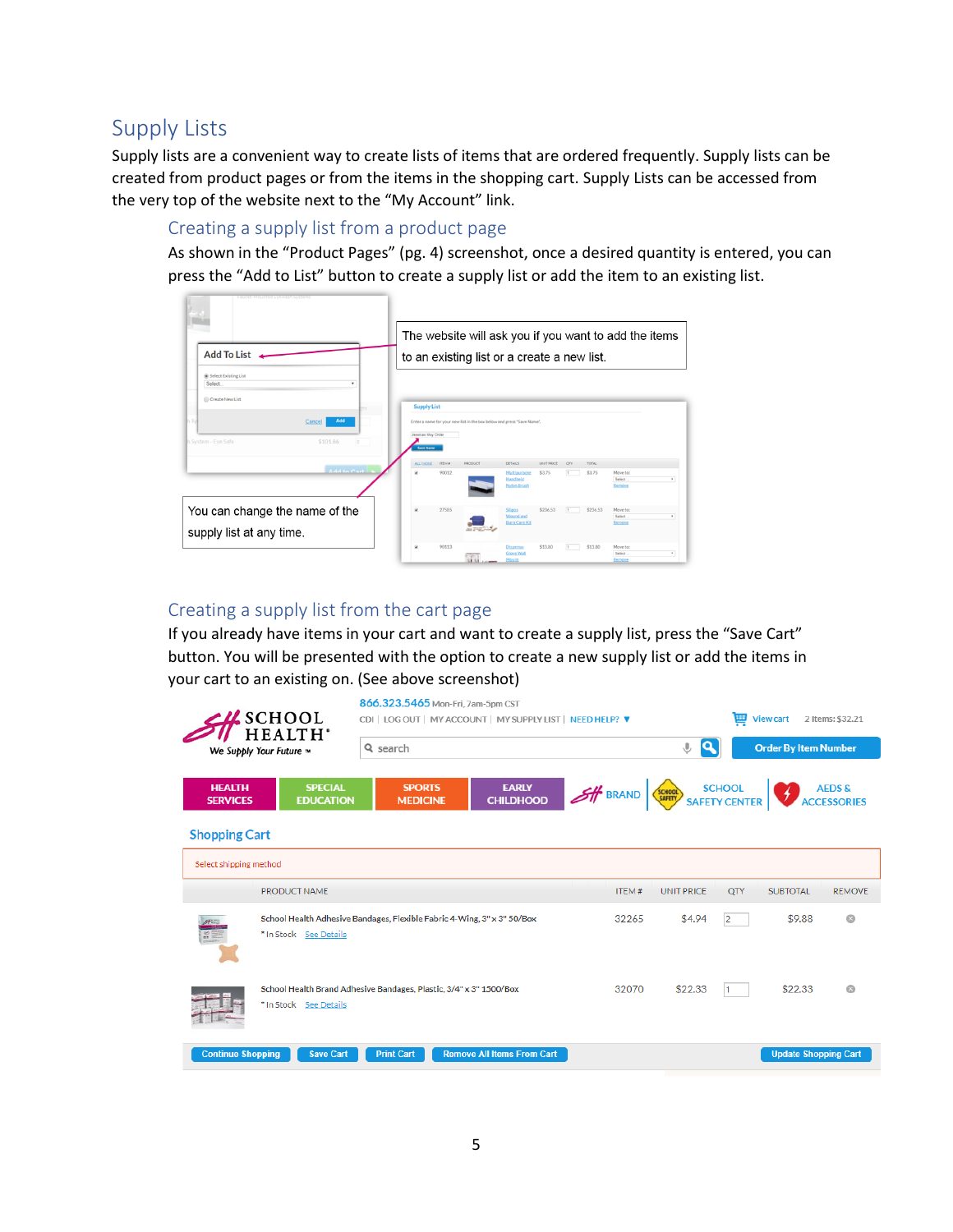### <span id="page-4-0"></span>Supply Lists

Supply lists are a convenient way to create lists of items that are ordered frequently. Supply lists can be created from product pages or from the items in the shopping cart. Supply Lists can be accessed from the very top of the website next to the "My Account" link.

### <span id="page-4-1"></span>Creating a supply list from a product page

As shown in the "Product Pages" (pg. 4) screenshot, once a desired quantity is entered, you can press the "Add to List" button to create a supply list or add the item to an existing list.

| Faucet-Mounted Eyewash Systems<br>Add To List.                                                                                          | The website will ask you if you want to add the items<br>to an existing list or a create a new list.                                                                                                                    |
|-----------------------------------------------------------------------------------------------------------------------------------------|-------------------------------------------------------------------------------------------------------------------------------------------------------------------------------------------------------------------------|
| (a) Select Existing List<br>Select.<br>۰<br>Create New List<br>Add<br>Cancel<br>\$101.86<br>h System - Eye Safe<br>$\ddot{\phantom{0}}$ | <b>Supply List</b><br>Enter a name for your new list in the box below and press "Save Name".<br>Jessicas May Order<br><b>Save Name</b>                                                                                  |
| Add to Cart                                                                                                                             | ПЕМА<br><b>ALL I NONE</b><br>PRODUCT<br><b>DETAILS</b><br><b>TOTAL</b><br><b>LINIT PRICE</b><br>OTY<br>90012<br>\$3.75<br>\$3.75<br>Move to:<br>Multipurpose<br>Handheld<br><b>Select</b><br>٠<br>Nylon Brush<br>Remove |
| You can change the name of the<br>supply list at any time.                                                                              | 27585<br>\$236.53<br>\$236.53<br>Move to:<br>Silipos<br>Wound and<br>Select<br>٠<br><b>Burn Care Kit</b><br>Remove                                                                                                      |
|                                                                                                                                         | 90113<br>\$13.80<br>\$13.80<br>o<br>Move to:<br>Dispensa<br>Glove Wall<br>Select<br>٠<br>Mount<br>Remove<br>51.51                                                                                                       |

### <span id="page-4-2"></span>Creating a supply list from the cart page

If you already have items in your cart and want to create a supply list, press the "Save Cart" button. You will be presented with the option to create a new supply list or add the items in your cart to an existing on. (See above screenshot)

| $\frac{1}{2}$ SCHOOL<br>HEALTH'  |                                    | 866.323.5465 Mon-Fri. 7am-5pm CST<br>罾<br>CDI   LOG OUT   MY ACCOUNT   MY SUPPLY LIST   NEED HELP? ▼ |                                   |                                       |                   |           | <b>View cart</b>            | 2 Items: \$32.21 |
|----------------------------------|------------------------------------|------------------------------------------------------------------------------------------------------|-----------------------------------|---------------------------------------|-------------------|-----------|-----------------------------|------------------|
|                                  | We Supply Your Future ~            | Q search                                                                                             |                                   |                                       | Q<br>⇓            |           | <b>Order By Item Number</b> |                  |
| <b>HEALTH</b><br><b>SERVICES</b> | <b>SPECIAL</b><br><b>EDUCATION</b> | <b>SPORTS</b><br><b>MEDICINE</b>                                                                     | <b>EARLY</b><br><b>CHILDHOOD</b>  | <b>SHE BRAND</b> SAFETY CENTER AEDS & |                   |           |                             |                  |
| <b>Shopping Cart</b>             |                                    |                                                                                                      |                                   |                                       |                   |           |                             |                  |
| Select shipping method           |                                    |                                                                                                      |                                   |                                       |                   |           |                             |                  |
|                                  | <b>PRODUCT NAME</b>                |                                                                                                      |                                   | ITEM#                                 | <b>UNIT PRICE</b> | QTY       | <b>SUBTOTAL</b>             | <b>REMOVE</b>    |
|                                  | * In Stock See Details             | School Health Adhesive Bandages, Flexible Fabric 4-Wing, 3" x 3" 50/Box                              |                                   | 32265                                 | \$4.94            | 2         | \$9.88                      | $\odot$          |
|                                  | * In Stock See Details             | School Health Brand Adhesive Bandages, Plastic, 3/4" x 3" 1500/Box                                   |                                   | 32070                                 | \$22.33           | $\vert$ 1 | \$22.33                     | $\Omega$         |
| <b>Continue Shopping</b>         | <b>Save Cart</b>                   | <b>Print Cart</b>                                                                                    | <b>Remove All Items From Cart</b> |                                       |                   |           | <b>Update Shopping Cart</b> |                  |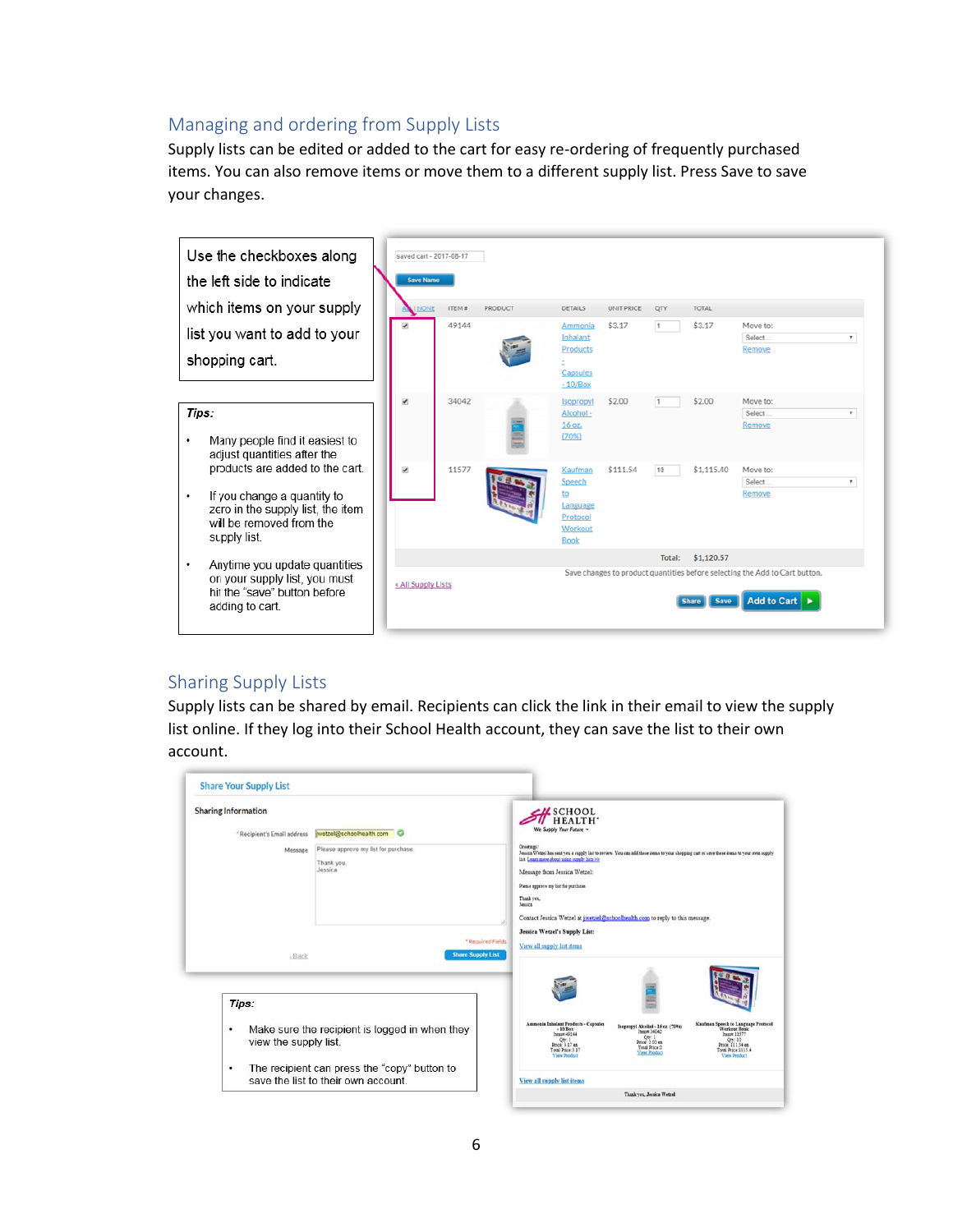### <span id="page-5-0"></span>Managing and ordering from Supply Lists

Supply lists can be edited or added to the cart for easy re-ordering of frequently purchased items. You can also remove items or move them to a different supply list. Press Save to save your changes.



#### <span id="page-5-1"></span>Sharing Supply Lists

Supply lists can be shared by email. Recipients can click the link in their email to view the supply list online. If they log into their School Health account, they can save the list to their own account.

| <b>Sharing Information</b>  |                                                               | <b>SH</b> SCHOOL                                                                                                                                                                                                                                                                                                                                                                                 |                                                                                                                    |                                                                                                                                                          |
|-----------------------------|---------------------------------------------------------------|--------------------------------------------------------------------------------------------------------------------------------------------------------------------------------------------------------------------------------------------------------------------------------------------------------------------------------------------------------------------------------------------------|--------------------------------------------------------------------------------------------------------------------|----------------------------------------------------------------------------------------------------------------------------------------------------------|
| * Recipient's Email address | wetzel@schoolhealth.com                                       | We Supply Your Future -                                                                                                                                                                                                                                                                                                                                                                          |                                                                                                                    |                                                                                                                                                          |
| Message                     | Please approve my list for purchase.<br>Thank you.<br>Jessica | <b>Greetings</b> *<br>Jassica Wetzel has sent you a supply list to review. You can add these items to your shopping cart or save these items to your own supply<br>list. Learn more about using supply lists >><br>Message from Jessica Wetzel:<br>Please approve my list for purchase.<br>Thank you.<br>Jessica<br>Contact Jessica Wetzel at jwetzel@schoolhealth.com to reply to this message. |                                                                                                                    |                                                                                                                                                          |
|                             |                                                               | Jessica Wetzel's Supply List:                                                                                                                                                                                                                                                                                                                                                                    |                                                                                                                    |                                                                                                                                                          |
| $-Back$                     | * Required Fields<br><b>Share Supply List</b>                 | View all supply list items                                                                                                                                                                                                                                                                                                                                                                       |                                                                                                                    |                                                                                                                                                          |
| Tips:                       |                                                               |                                                                                                                                                                                                                                                                                                                                                                                                  |                                                                                                                    |                                                                                                                                                          |
| ٠<br>view the supply list.  | Make sure the recipient is logged in when they                | Ammonia Inhalant Products - Capsules<br>$-10$ Box<br>hem# 49144<br>$Price$ $17$ ez<br>Total Price 3.17<br><b>View Product</b>                                                                                                                                                                                                                                                                    | Isopropyl Alcohol - 16 oz. (70%)<br>Hemm 34042<br>Qn: 1<br>Price: 2.00 ea.<br>Total Price:2<br><b>View Product</b> | Kaufman Speech to Language Protocol<br>Workout Book<br>Inexom 11577<br>Oty: 10<br>Price: 111.54 ex.<br>Total Price: 1115.4<br><b><i>View Product</i></b> |